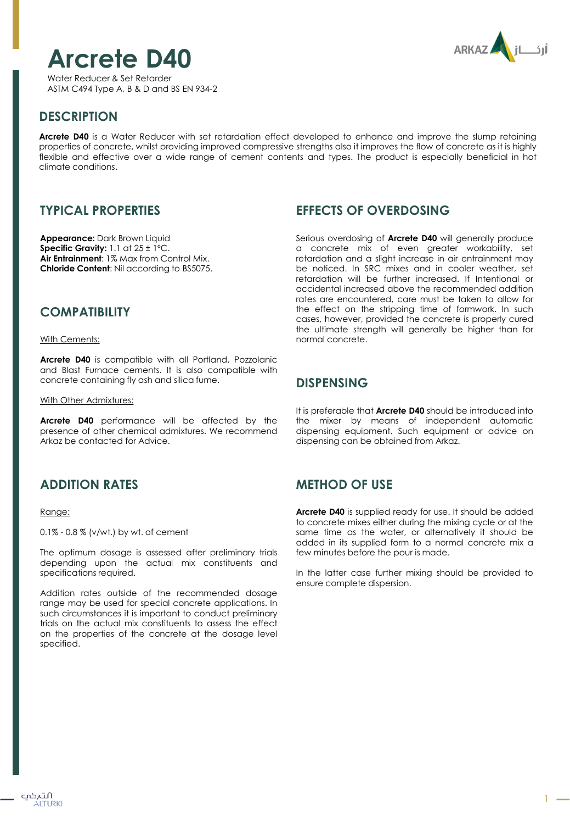# **Arcrete D40**



Water Reducer & Set Retarder ASTM C494 Type A, B & D and BS EN 934-2

# **DESCRIPTION**

**Arcrete D40** is a Water Reducer with set retardation effect developed to enhance and improve the slump retaining properties of concrete, whilst providing improved compressive strengths also it improves the flow of concrete as it is highly flexible and effective over a wide range of cement contents and types. The product is especially beneficial in hot climate conditions.

# **TYPICAL PROPERTIES**

**Appearance:** Dark Brown Liquid **Specific Gravity:** 1.1 at 25 ± 1ºC. **Air Entrainment**: 1% Max from Control Mix. **Chloride Content**: Nil according to BS5075.

### **COMPATIBILITY**

With Cements:

**Arcrete D40** is compatible with all Portland, Pozzolanic and Blast Furnace cements. It is also compatible with concrete containing fly ash and silica fume.

With Other Admixtures:

**Arcrete D40** performance will be affected by the presence of other chemical admixtures. We recommend Arkaz be contacted for Advice.

# **ADDITION RATES**

#### Range:

0.1% - 0.8 % (v/wt.) by wt. of cement

The optimum dosage is assessed after preliminary trials depending upon the actual mix constituents and specifications required.

Addition rates outside of the recommended dosage range may be used for special concrete applications. In such circumstances it is important to conduct preliminary trials on the actual mix constituents to assess the effect on the properties of the concrete at the dosage level specified.

## **EFFECTS OF OVERDOSING**

Serious overdosing of **Arcrete D40** will generally produce a concrete mix of even greater workability, set retardation and a slight increase in air entrainment may be noticed. In SRC mixes and in cooler weather, set retardation will be further increased. If Intentional or accidental increased above the recommended addition rates are encountered, care must be taken to allow for the effect on the stripping time of formwork. In such cases, however, provided the concrete is properly cured the ultimate strength will generally be higher than for normal concrete.

#### **DISPENSING**

It is preferable that **Arcrete D40** should be introduced into the mixer by means of independent automatic dispensing equipment. Such equipment or advice on dispensing can be obtained from Arkaz.

## **METHOD OF USE**

**Arcrete D40** is supplied ready for use. It should be added to concrete mixes either during the mixing cycle or at the same time as the water, or alternatively it should be added in its supplied form to a normal concrete mix a few minutes before the pour is made.

In the latter case further mixing should be provided to ensure complete dispersion.